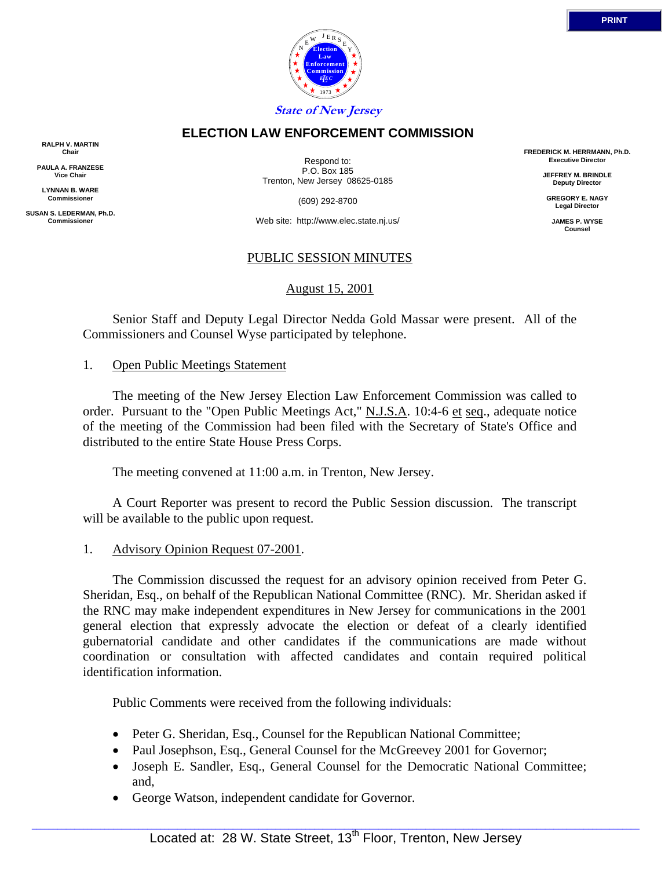

# **ELECTION LAW ENFORCEMENT COMMISSION**

**RALPH V. MARTIN Chair**

**PAULA A. FRANZESE Vice Chair**

**LYNNAN B. WARE Commissioner**

**SUSAN S. LEDERMAN, Ph.D. Commissioner**

Respond to: P.O. Box 185 Trenton, New Jersey 08625-0185

(609) 292-8700

Web site: http://www.elec.state.nj.us/

### PUBLIC SESSION MINUTES

August 15, 2001

 Senior Staff and Deputy Legal Director Nedda Gold Massar were present. All of the Commissioners and Counsel Wyse participated by telephone.

#### 1. Open Public Meetings Statement

 The meeting of the New Jersey Election Law Enforcement Commission was called to order. Pursuant to the "Open Public Meetings Act," N.J.S.A. 10:4-6 et seq., adequate notice of the meeting of the Commission had been filed with the Secretary of State's Office and distributed to the entire State House Press Corps.

The meeting convened at 11:00 a.m. in Trenton, New Jersey.

 A Court Reporter was present to record the Public Session discussion. The transcript will be available to the public upon request.

#### 1. Advisory Opinion Request 07-2001.

 The Commission discussed the request for an advisory opinion received from Peter G. Sheridan, Esq., on behalf of the Republican National Committee (RNC). Mr. Sheridan asked if the RNC may make independent expenditures in New Jersey for communications in the 2001 general election that expressly advocate the election or defeat of a clearly identified gubernatorial candidate and other candidates if the communications are made without coordination or consultation with affected candidates and contain required political identification information.

Public Comments were received from the following individuals:

- Peter G. Sheridan, Esq., Counsel for the Republican National Committee;
- Paul Josephson, Esq., General Counsel for the McGreevey 2001 for Governor;
- Joseph E. Sandler, Esq., General Counsel for the Democratic National Committee; and,
- George Watson, independent candidate for Governor.

**FREDERICK M. HERRMANN, Ph.D. Executive Director**

> **JEFFREY M. BRINDLE Deputy Director**

**GREGORY E. NAGY Legal Director**

**JAMES P. WYSE Counsel**